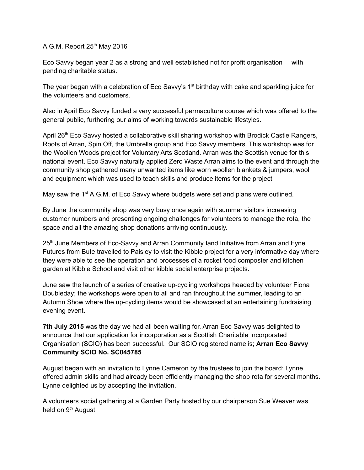## A.G.M. Report 25<sup>th</sup> May 2016

Eco Savvy began year 2 as a strong and well established not for profit organisation with pending charitable status.

The year began with a celebration of Eco Savvy's 1<sup>st</sup> birthday with cake and sparkling juice for the volunteers and customers.

Also in April Eco Savvy funded a very successful permaculture course which was offered to the general public, furthering our aims of working towards sustainable lifestyles.

April 26<sup>th</sup> Eco Savvy hosted a collaborative skill sharing workshop with Brodick Castle Rangers, Roots of Arran, Spin Off, the Umbrella group and Eco Savvy members. This workshop was for the Woollen Woods project for Voluntary Arts Scotland. Arran was the Scottish venue for this national event. Eco Savvy naturally applied Zero Waste Arran aims to the event and through the community shop gathered many unwanted items like worn woollen blankets & jumpers, wool and equipment which was used to teach skills and produce items for the project

May saw the 1<sup>st</sup> A.G.M. of Eco Savvy where budgets were set and plans were outlined.

By June the community shop was very busy once again with summer visitors increasing customer numbers and presenting ongoing challenges for volunteers to manage the rota, the space and all the amazing shop donations arriving continuously.

25<sup>th</sup> June Members of Eco-Savvy and Arran Community land Initiative from Arran and Fyne Futures from Bute travelled to Paisley to visit the Kibble project for a very informative day where they were able to see the operation and processes of a rocket food composter and kitchen garden at Kibble School and visit other kibble social enterprise projects.

June saw the launch of a series of creative up-cycling workshops headed by volunteer Fiona Doubleday; the workshops were open to all and ran throughout the summer, leading to an Autumn Show where the up-cycling items would be showcased at an entertaining fundraising evening event.

**7th July 2015** was the day we had all been waiting for, Arran Eco Savvy was delighted to announce that our application for incorporation as a Scottish Charitable Incorporated Organisation (SCIO) has been successful. Our SCIO registered name is; **Arran Eco Savvy Community SCIO No. SC045785**

August began with an invitation to Lynne Cameron by the trustees to join the board; Lynne offered admin skills and had already been efficiently managing the shop rota for several months. Lynne delighted us by accepting the invitation.

A volunteers social gathering at a Garden Party hosted by our chairperson Sue Weaver was held on 9<sup>th</sup> August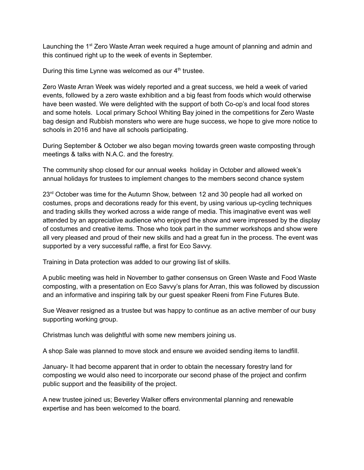Launching the 1<sup>st</sup> Zero Waste Arran week required a huge amount of planning and admin and this continued right up to the week of events in September.

During this time Lynne was welcomed as our 4<sup>th</sup> trustee.

Zero Waste Arran Week was widely reported and a great success, we held a week of varied events, followed by a zero waste exhibition and a big feast from foods which would otherwise have been wasted. We were delighted with the support of both Co-op's and local food stores and some hotels. Local primary School Whiting Bay joined in the competitions for Zero Waste bag design and Rubbish monsters who were are huge success, we hope to give more notice to schools in 2016 and have all schools participating.

During September & October we also began moving towards green waste composting through meetings & talks with N.A.C. and the forestry.

The community shop closed for our annual weeks holiday in October and allowed week's annual holidays for trustees to implement changes to the members second chance system

23<sup>rd</sup> October was time for the Autumn Show, between 12 and 30 people had all worked on costumes, props and decorations ready for this event, by using various up-cycling techniques and trading skills they worked across a wide range of media. This imaginative event was well attended by an appreciative audience who enjoyed the show and were impressed by the display of costumes and creative items. Those who took part in the summer workshops and show were all very pleased and proud of their new skills and had a great fun in the process. The event was supported by a very successful raffle, a first for Eco Savvy.

Training in Data protection was added to our growing list of skills.

A public meeting was held in November to gather consensus on Green Waste and Food Waste composting, with a presentation on Eco Savvy's plans for Arran, this was followed by discussion and an informative and inspiring talk by our guest speaker Reeni from Fine Futures Bute.

Sue Weaver resigned as a trustee but was happy to continue as an active member of our busy supporting working group.

Christmas lunch was delightful with some new members joining us.

A shop Sale was planned to move stock and ensure we avoided sending items to landfill.

January- It had become apparent that in order to obtain the necessary forestry land for composting we would also need to incorporate our second phase of the project and confirm public support and the feasibility of the project.

A new trustee joined us; Beverley Walker offers environmental planning and renewable expertise and has been welcomed to the board.